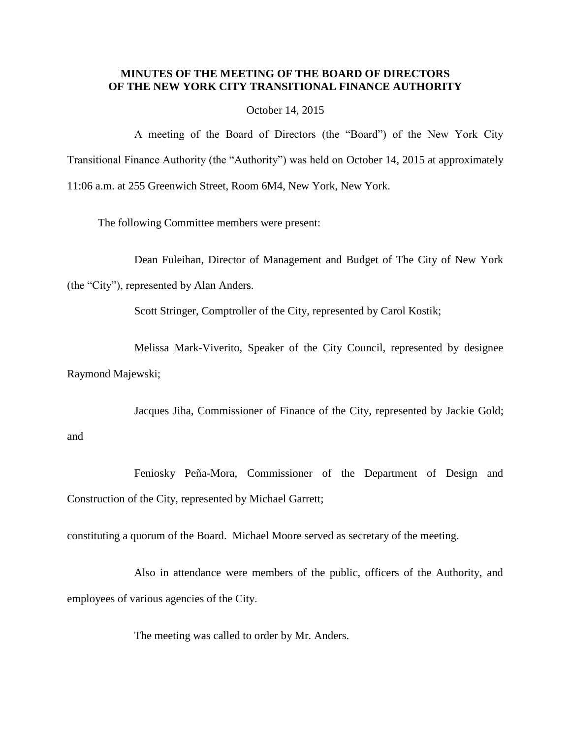## **MINUTES OF THE MEETING OF THE BOARD OF DIRECTORS OF THE NEW YORK CITY TRANSITIONAL FINANCE AUTHORITY**

### October 14, 2015

A meeting of the Board of Directors (the "Board") of the New York City Transitional Finance Authority (the "Authority") was held on October 14, 2015 at approximately 11:06 a.m. at 255 Greenwich Street, Room 6M4, New York, New York.

The following Committee members were present:

Dean Fuleihan, Director of Management and Budget of The City of New York

(the "City"), represented by Alan Anders.

Scott Stringer, Comptroller of the City, represented by Carol Kostik;

Melissa Mark-Viverito, Speaker of the City Council, represented by designee Raymond Majewski;

Jacques Jiha, Commissioner of Finance of the City, represented by Jackie Gold;

and

Feniosky Peña-Mora, Commissioner of the Department of Design and Construction of the City, represented by Michael Garrett;

constituting a quorum of the Board. Michael Moore served as secretary of the meeting.

Also in attendance were members of the public, officers of the Authority, and employees of various agencies of the City.

The meeting was called to order by Mr. Anders.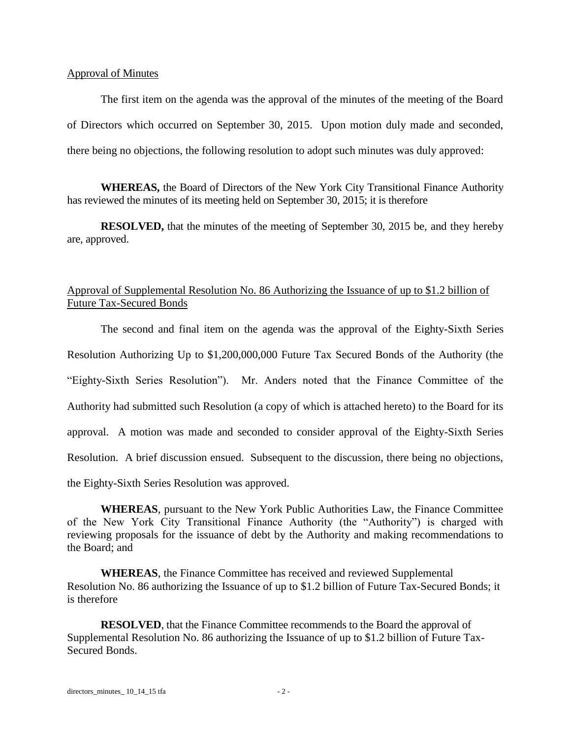### Approval of Minutes

The first item on the agenda was the approval of the minutes of the meeting of the Board of Directors which occurred on September 30, 2015. Upon motion duly made and seconded, there being no objections, the following resolution to adopt such minutes was duly approved:

**WHEREAS,** the Board of Directors of the New York City Transitional Finance Authority has reviewed the minutes of its meeting held on September 30, 2015; it is therefore

**RESOLVED,** that the minutes of the meeting of September 30, 2015 be, and they hereby are, approved.

# Approval of Supplemental Resolution No. 86 Authorizing the Issuance of up to \$1.2 billion of Future Tax-Secured Bonds

The second and final item on the agenda was the approval of the Eighty-Sixth Series Resolution Authorizing Up to \$1,200,000,000 Future Tax Secured Bonds of the Authority (the "Eighty-Sixth Series Resolution"). Mr. Anders noted that the Finance Committee of the Authority had submitted such Resolution (a copy of which is attached hereto) to the Board for its approval. A motion was made and seconded to consider approval of the Eighty-Sixth Series Resolution. A brief discussion ensued. Subsequent to the discussion, there being no objections, the Eighty-Sixth Series Resolution was approved.

**WHEREAS**, pursuant to the New York Public Authorities Law, the Finance Committee of the New York City Transitional Finance Authority (the "Authority") is charged with reviewing proposals for the issuance of debt by the Authority and making recommendations to the Board; and

**WHEREAS**, the Finance Committee has received and reviewed Supplemental Resolution No. 86 authorizing the Issuance of up to \$1.2 billion of Future Tax-Secured Bonds; it is therefore

**RESOLVED**, that the Finance Committee recommends to the Board the approval of Supplemental Resolution No. 86 authorizing the Issuance of up to \$1.2 billion of Future Tax-Secured Bonds.